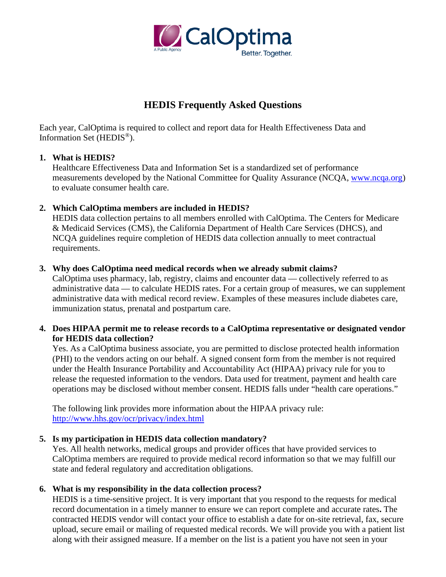

# **HEDIS Frequently Asked Questions**

Each year, CalOptima is required to collect and report data for Health Effectiveness Data and Information Set (HEDIS®).

## **1. What is HEDIS?**

Healthcare Effectiveness Data and Information Set is a standardized set of performance measurements developed by the National Committee for Quality Assurance (NCQA, [www.ncqa.org\)](http://www.ncqa.org/) to evaluate consumer health care.

# **2. Which CalOptima members are included in HEDIS?**

HEDIS data collection pertains to all members enrolled with CalOptima. The Centers for Medicare & Medicaid Services (CMS), the California Department of Health Care Services (DHCS), and NCQA guidelines require completion of HEDIS data collection annually to meet contractual requirements.

# **3. Why does CalOptima need medical records when we already submit claims?**

CalOptima uses pharmacy, lab, registry, claims and encounter data — collectively referred to as administrative data — to calculate HEDIS rates. For a certain group of measures, we can supplement administrative data with medical record review. Examples of these measures include diabetes care, immunization status, prenatal and postpartum care.

# **4. Does HIPAA permit me to release records to a CalOptima representative or designated vendor for HEDIS data collection?**

Yes. As a CalOptima business associate, you are permitted to disclose protected health information (PHI) to the vendors acting on our behalf. A signed consent form from the member is not required under the Health Insurance Portability and Accountability Act (HIPAA) privacy rule for you to release the requested information to the vendors. Data used for treatment, payment and health care operations may be disclosed without member consent. HEDIS falls under "health care operations."

The following link provides more information about the HIPAA privacy rule: <http://www.hhs.gov/ocr/privacy/index.html>

# **5. Is my participation in HEDIS data collection mandatory?**

Yes. All health networks, medical groups and provider offices that have provided services to CalOptima members are required to provide medical record information so that we may fulfill our state and federal regulatory and accreditation obligations.

# **6. What is my responsibility in the data collection process?**

HEDIS is a time-sensitive project. It is very important that you respond to the requests for medical record documentation in a timely manner to ensure we can report complete and accurate rates**.** The contracted HEDIS vendor will contact your office to establish a date for on-site retrieval, fax, secure upload, secure email or mailing of requested medical records. We will provide you with a patient list along with their assigned measure. If a member on the list is a patient you have not seen in your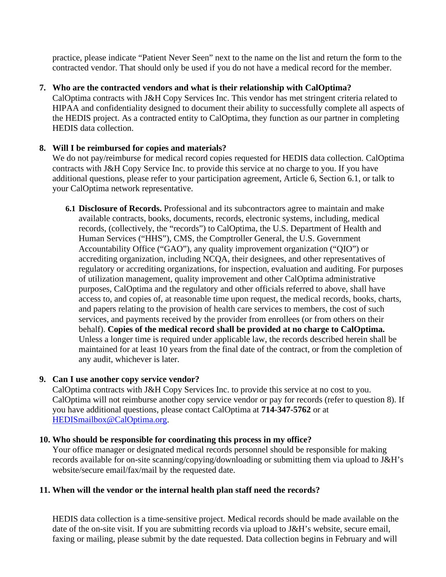practice, please indicate "Patient Never Seen" next to the name on the list and return the form to the contracted vendor. That should only be used if you do not have a medical record for the member.

## **7. Who are the contracted vendors and what is their relationship with CalOptima?**

CalOptima contracts with J&H Copy Services Inc. This vendor has met stringent criteria related to HIPAA and confidentiality designed to document their ability to successfully complete all aspects of the HEDIS project. As a contracted entity to CalOptima, they function as our partner in completing HEDIS data collection.

# **8. Will I be reimbursed for copies and materials?**

We do not pay/reimburse for medical record copies requested for HEDIS data collection. CalOptima contracts with J&H Copy Service Inc. to provide this service at no charge to you. If you have additional questions, please refer to your participation agreement, Article 6, Section 6.1, or talk to your CalOptima network representative.

**6.1 Disclosure of Records.** Professional and its subcontractors agree to maintain and make available contracts, books, documents, records, electronic systems, including, medical records, (collectively, the "records") to CalOptima, the U.S. Department of Health and Human Services ("HHS"), CMS, the Comptroller General, the U.S. Government Accountability Office ("GAO"), any quality improvement organization ("QIO") or accrediting organization, including NCQA, their designees, and other representatives of regulatory or accrediting organizations, for inspection, evaluation and auditing. For purposes of utilization management, quality improvement and other CalOptima administrative purposes, CalOptima and the regulatory and other officials referred to above, shall have access to, and copies of, at reasonable time upon request, the medical records, books, charts, and papers relating to the provision of health care services to members, the cost of such services, and payments received by the provider from enrollees (or from others on their behalf). **Copies of the medical record shall be provided at no charge to CalOptima.** Unless a longer time is required under applicable law, the records described herein shall be maintained for at least 10 years from the final date of the contract, or from the completion of any audit, whichever is later.

# **9. Can I use another copy service vendor?**

CalOptima contracts with J&H Copy Services Inc. to provide this service at no cost to you. CalOptima will not reimburse another copy service vendor or pay for records (refer to question 8). If you have additional questions, please contact CalOptima at **714-347-5762** or at [HEDISmailbox@CalOptima.org.](mailto:HEDISmailbox@CalOptima.org)

#### **10. Who should be responsible for coordinating this process in my office?**

Your office manager or designated medical records personnel should be responsible for making records available for on-site scanning/copying/downloading or submitting them via upload to J&H's website/secure email/fax/mail by the requested date.

#### **11. When will the vendor or the internal health plan staff need the records?**

HEDIS data collection is a time-sensitive project. Medical records should be made available on the date of the on-site visit. If you are submitting records via upload to J&H's website, secure email, faxing or mailing, please submit by the date requested. Data collection begins in February and will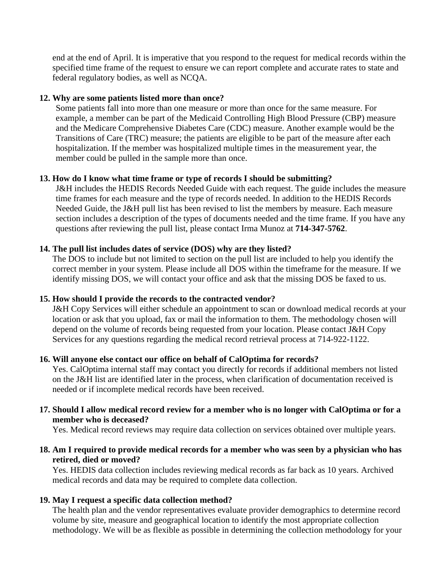end at the end of April. It is imperative that you respond to the request for medical records within the specified time frame of the request to ensure we can report complete and accurate rates to state and federal regulatory bodies, as well as NCQA.

#### **12. Why are some patients listed more than once?**

Some patients fall into more than one measure or more than once for the same measure. For example, a member can be part of the Medicaid Controlling High Blood Pressure (CBP) measure and the Medicare Comprehensive Diabetes Care (CDC) measure. Another example would be the Transitions of Care (TRC) measure; the patients are eligible to be part of the measure after each hospitalization. If the member was hospitalized multiple times in the measurement year, the member could be pulled in the sample more than once.

# **13. How do I know what time frame or type of records I should be submitting?**

J&H includes the HEDIS Records Needed Guide with each request. The guide includes the measure time frames for each measure and the type of records needed. In addition to the HEDIS Records Needed Guide, the J&H pull list has been revised to list the members by measure. Each measure section includes a description of the types of documents needed and the time frame. If you have any questions after reviewing the pull list, please contact Irma Munoz at **714-347-5762**.

## **14. The pull list includes dates of service (DOS) why are they listed?**

The DOS to include but not limited to section on the pull list are included to help you identify the correct member in your system. Please include all DOS within the timeframe for the measure. If we identify missing DOS, we will contact your office and ask that the missing DOS be faxed to us.

# **15. How should I provide the records to the contracted vendor?**

J&H Copy Services will either schedule an appointment to scan or download medical records at your location or ask that you upload, fax or mail the information to them. The methodology chosen will depend on the volume of records being requested from your location. Please contact J&H Copy Services for any questions regarding the medical record retrieval process at 714-922-1122.

#### **16. Will anyone else contact our office on behalf of CalOptima for records?**

Yes. CalOptima internal staff may contact you directly for records if additional members not listed on the J&H list are identified later in the process, when clarification of documentation received is needed or if incomplete medical records have been received.

## **17. Should I allow medical record review for a member who is no longer with CalOptima or for a member who is deceased?**

Yes. Medical record reviews may require data collection on services obtained over multiple years.

## **18. Am I required to provide medical records for a member who was seen by a physician who has retired, died or moved?**

Yes. HEDIS data collection includes reviewing medical records as far back as 10 years. Archived medical records and data may be required to complete data collection.

#### **19. May I request a specific data collection method?**

The health plan and the vendor representatives evaluate provider demographics to determine record volume by site, measure and geographical location to identify the most appropriate collection methodology. We will be as flexible as possible in determining the collection methodology for your